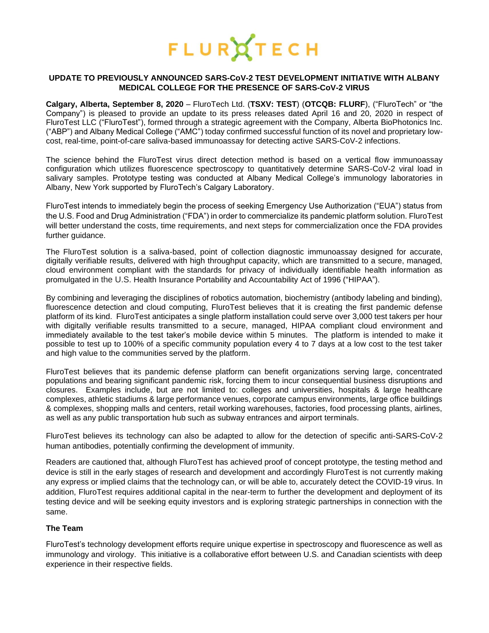

#### **UPDATE TO PREVIOUSLY ANNOUNCED SARS-CoV-2 TEST DEVELOPMENT INITIATIVE WITH ALBANY MEDICAL COLLEGE FOR THE PRESENCE OF SARS-CoV-2 VIRUS**

**Calgary, Alberta, September 8, 2020** – [FluroTech Ltd. \(](https://flurotech.com/)**TSXV: [TEST](https://flurotech.com/investors/)**) (**OTCQB: [FLURF](https://www.otcmarkets.com/stock/FLURF/overview)**), ("FluroTech" or "the Company") is pleased to provide an update to its press releases dated April 16 and 20, 2020 in respect of FluroTest LLC ("FluroTest"), formed through a strategic agreement with the Company, Alberta BioPhotonics Inc. ("ABP") and Albany Medical College ("AMC") today confirmed successful function of its novel and proprietary lowcost, real-time, point-of-care saliva-based immunoassay for detecting active SARS-CoV-2 infections.

The science behind the FluroTest virus direct detection method is based on a vertical flow immunoassay configuration which utilizes fluorescence spectroscopy to quantitatively determine SARS-CoV-2 viral load in salivary samples. Prototype testing was conducted at Albany Medical College's immunology laboratories in Albany, New York supported by FluroTech's Calgary Laboratory.

FluroTest intends to immediately begin the process of seeking Emergency Use Authorization ("EUA") status from the U.S. Food and Drug Administration ("FDA") in order to commercialize its pandemic platform solution. FluroTest will better understand the costs, time requirements, and next steps for commercialization once the FDA provides further guidance.

The FluroTest solution is a saliva-based, point of collection diagnostic immunoassay designed for accurate, digitally verifiable results, delivered with high throughput capacity, which are transmitted to a secure, managed, cloud environment compliant with the standards for privacy of individually identifiable health information as promulgated in the U.S. Health Insurance Portability and Accountability Act of 1996 ("HIPAA").

By combining and leveraging the disciplines of robotics automation, biochemistry (antibody labeling and binding), fluorescence detection and cloud computing, FluroTest believes that it is creating the first pandemic defense platform of its kind. FluroTest anticipates a single platform installation could serve over 3,000 test takers per hour with digitally verifiable results transmitted to a secure, managed, HIPAA compliant cloud environment and immediately available to the test taker's mobile device within 5 minutes. The platform is intended to make it possible to test up to 100% of a specific community population every 4 to 7 days at a low cost to the test taker and high value to the communities served by the platform.

FluroTest believes that its pandemic defense platform can benefit organizations serving large, concentrated populations and bearing significant pandemic risk, forcing them to incur consequential business disruptions and closures. Examples include, but are not limited to: colleges and universities, hospitals & large healthcare complexes, athletic stadiums & large performance venues, corporate campus environments, large office buildings & complexes, shopping malls and centers, retail working warehouses, factories, food processing plants, airlines, as well as any public transportation hub such as subway entrances and airport terminals.

FluroTest believes its technology can also be adapted to allow for the detection of specific anti-SARS-CoV-2 human antibodies, potentially confirming the development of immunity.

Readers are cautioned that, although FluroTest has achieved proof of concept prototype, the testing method and device is still in the early stages of research and development and accordingly FluroTest is not currently making any express or implied claims that the technology can, or will be able to, accurately detect the COVID-19 virus. In addition, FluroTest requires additional capital in the near-term to further the development and deployment of its testing device and will be seeking equity investors and is exploring strategic partnerships in connection with the same.

# **The Team**

FluroTest's technology development efforts require unique expertise in spectroscopy and fluorescence as well as immunology and virology. This initiative is a collaborative effort between U.S. and Canadian scientists with deep experience in their respective fields.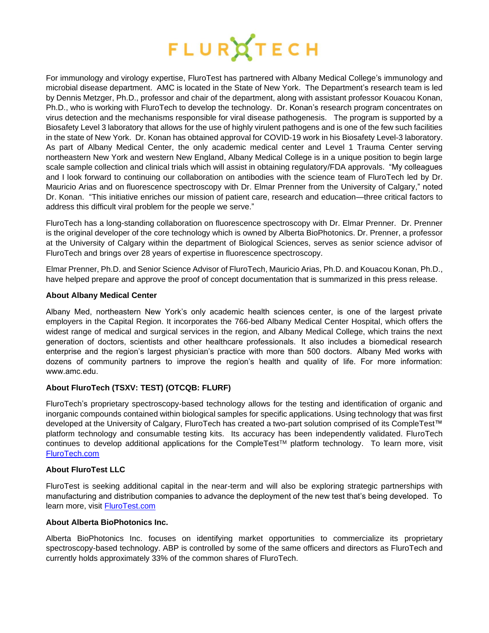

For immunology and virology expertise, FluroTest has partnered with Albany Medical College's immunology and microbial disease department. AMC is located in the State of New York. The Department's research team is led by Dennis Metzger, Ph.D., professor and chair of the department, along with assistant professor Kouacou Konan, Ph.D., who is working with FluroTech to develop the technology. Dr. Konan's research program concentrates on virus detection and the mechanisms responsible for viral disease pathogenesis. The program is supported by a Biosafety Level 3 laboratory that allows for the use of highly virulent pathogens and is one of the few such facilities in the state of New York. Dr. Konan has obtained approval for COVID-19 work in his Biosafety Level-3 laboratory. As part of Albany Medical Center, the only academic medical center and Level 1 Trauma Center serving northeastern New York and western New England, Albany Medical College is in a unique position to begin large scale sample collection and clinical trials which will assist in obtaining regulatory/FDA approvals. "My colleagues and I look forward to continuing our collaboration on antibodies with the science team of FluroTech led by Dr. Mauricio Arias and on fluorescence spectroscopy with Dr. Elmar Prenner from the University of Calgary," noted Dr. Konan. "This initiative enriches our mission of patient care, research and education—three critical factors to address this difficult viral problem for the people we serve."

FluroTech has a long-standing collaboration on fluorescence spectroscopy with Dr. Elmar Prenner. Dr. Prenner is the original developer of the core technology which is owned by Alberta BioPhotonics. Dr. Prenner, a professor at the University of Calgary within the department of Biological Sciences, serves as senior science advisor of FluroTech and brings over 28 years of expertise in fluorescence spectroscopy.

Elmar Prenner, Ph.D. and Senior Science Advisor of FluroTech, Mauricio Arias, Ph.D. and Kouacou Konan, Ph.D., have helped prepare and approve the proof of concept documentation that is summarized in this press release.

### **About Albany Medical Center**

Albany Med, northeastern New York's only academic health sciences center, is one of the largest private employers in the Capital Region. It incorporates the 766-bed Albany Medical Center Hospital, which offers the widest range of medical and surgical services in the region, and Albany Medical College, which trains the next generation of doctors, scientists and other healthcare professionals.  It also includes a biomedical research enterprise and the region's largest physician's practice with more than 500 doctors.  Albany Med works with dozens of community partners to improve the region's health and quality of life. For more information: www.amc.edu. 

## **About [FluroTech](http://flurotech.com/) (TSXV: [TEST\)](https://flurotech.com/investors/) (OTCQB: [FLURF\)](https://www.otcmarkets.com/stock/FLURF/overview)**

[FluroTech's](http://flurotech.com/) proprietary spectroscopy-based technology allows for the testing and identification of organic and inorganic compounds contained within biological samples for specific applications. Using technology that was first developed at the University of Calgary, [FluroTech](http://flurotech.com/) has created a two-part solution comprised of its [CompleTest™](http://flurotech.com/completest/) platform technology and consumable testing kits. Its accuracy has been independently validated. FluroTech continues to develop additional applications for the CompleTest™ platform technology. To learn more, visit [FluroTech.com](http://www.flurotech.com/)

### **About FluroTest LLC**

FluroTest is seeking additional capital in the near-term and will also be exploring strategic partnerships with manufacturing and distribution companies to advance the deployment of the new test that's being developed. To learn more, visit [FluroTest.com](http://www.flurotest.com/)

## **About Alberta BioPhotonics Inc.**

Alberta BioPhotonics Inc. focuses on identifying market opportunities to commercialize its proprietary spectroscopy-based technology. ABP is controlled by some of the same officers and directors as FluroTech and currently holds approximately 33% of the common shares of FluroTech.